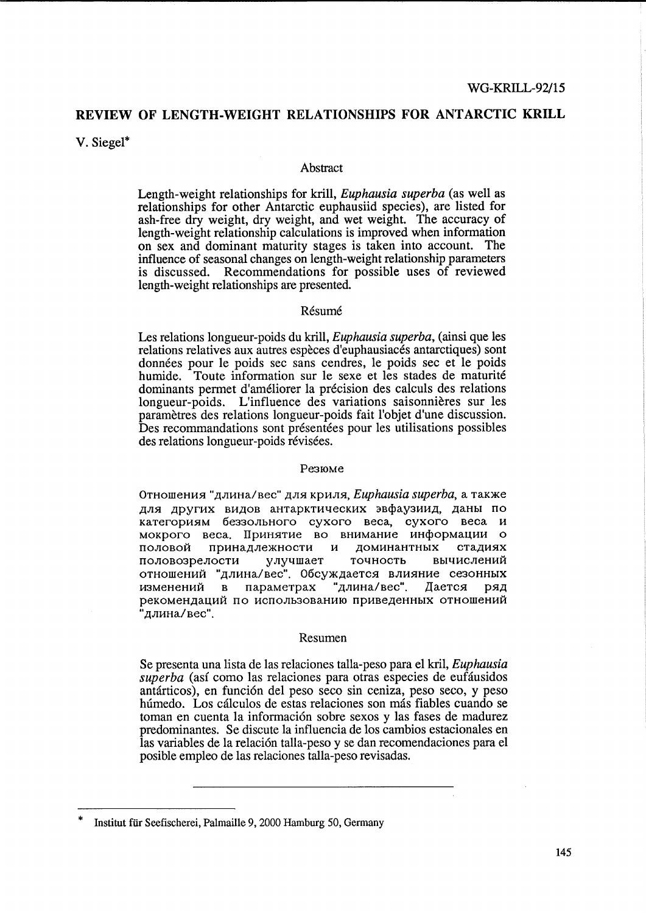# REVIEW OF LENGTH-WEIGHT RELATIONSHIPS FOR ANTARCTIC KRILL

V. Siegel\*

#### Abstract

Length-weight relationships for krill, *Euphausia superba* (as well as relationships for other Antarctic euphausiid species), are listed for ash-free dry weight, dry weight, and wet weight. The accuracy of length-weight relationship calculations is improved when information on sex and dominant maturity stages is taken into account. The influence of seasonal changes on length-weight relationship parameters is discussed. Recommendations for possible uses of reviewed length-weight relationships are presented.

### Résumé

Les relations longueur-poids du krill, *Euphausia superba*, (ainsi que les relations relatives aux autres espèces d'euphausiacés antarctiques) sont données pour le poids sec sans cendres, le poids sec et le poids humide. Toute information sur le sexe et les stades de maturité dominants permet d'améliorer la précision des calculs des relations longueur-poids. L'influence des variations saisonnières sur les paramètres des relations longueur-poids fait l'objet d'une discussion. Des recommandations sont présentées pour les utilisations possibles des relations longueur-poids révisées.

### Резюме

Отношения "длина/вес" для криля, Euphausia superba, а также для других видов антарктических эвфаузиид. даны по категориям беззольного сухого веса, сухого веса и мокрого веса. Принятие во внимание информации о принадлежности и доминантных стадиях половой улучшает половозрелости точность вычислений отношений "длина/вес". Обсуждается влияние сезонных параметрах "длина/вес". Дается изменений в ряд рекомендаций по использованию приведенных отношений "длина/вес".

#### Resumen

Se presenta una lista de las relaciones talla-peso para el kril, Euphausia superba (así como las relaciones para otras especies de eufáusidos antárticos), en función del peso seco sin ceniza, peso seco, y peso húmedo. Los cálculos de estas relaciones son más fiables cuando se toman en cuenta la información sobre sexos y las fases de madurez predominantes. Se discute la influencia de los cambios estacionales en las variables de la relación talla-peso y se dan recomendaciones para el posible empleo de las relaciones talla-peso revisadas.

Institut für Seefischerei, Palmaille 9, 2000 Hamburg 50, Germany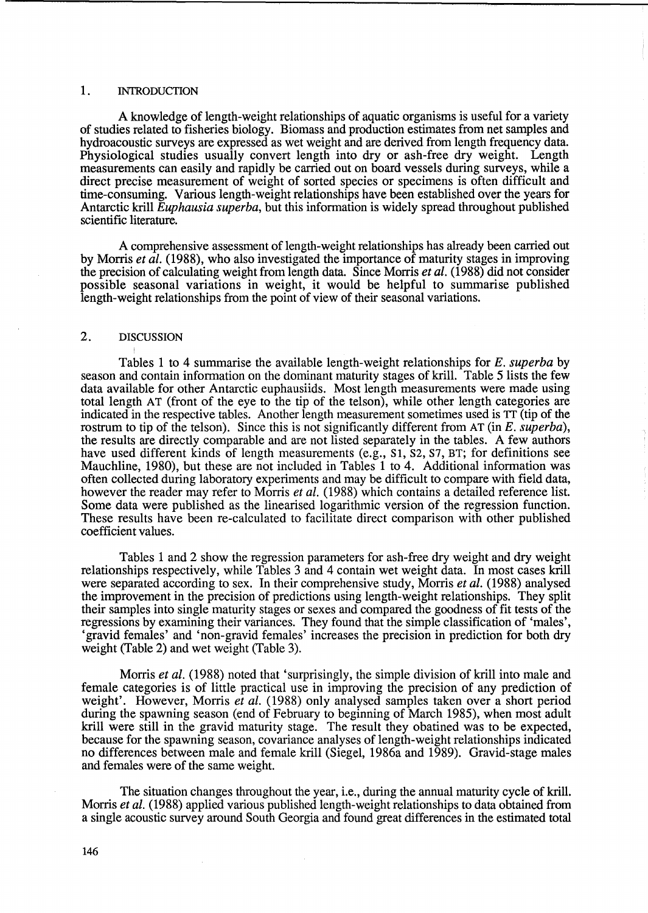### 1. INTRODUCTION

A knowledge of length-weight relationships of aquatic organisms is useful for a variety of studies related to fisheries biology. Biomass and production estimates from net samples and hydroacoustic surveys are expressed as wet weight and are derived from length frequency data. Physiological studies usually convert length into dry or ash-free dry weight. Length measurements can easily and rapidly be carried out on board vessels during surveys, while a direct precise measurement of weight of sorted species or specimens is often difficult and time-consuming. Various length-weight relationships have been established over the years for Antarctic krill *Euphausia superba,* but this information is widely spread throughout published scientific literature.

A comprehensive assessment of length-weight relationships has already been carried out by Morris *et al.* (1988), who also investigated the importance of maturity stages in improving the precision of calculating weight from length data. Since Morris *et al.* (1988) did not consider possible seasonal variations in weight, it would be helpful to summarise published length-weight relationships from the point of view of their seasonal variations.

### 2. DISCUSSION

Tables 1 to 4 summarise the available length-weight relationships for *E. superba* by season and contain information on the dominant maturity stages of kriH. Table 5 lists the few data available for other Antarctic euphausiids. Most length measurements were made using total length AT (front of the eye to the tip of the telson), while other length categories are indicated in the respective tables. Another length measurement sometimes used is TT (tip of the rostrum to tip of the telson). Since this is not significantly different from AT (in *E. superba),*  the results are directly comparable and are not listed separately in the tables. A few authors have used different kinds of length measurements (e.g., SI, *S2,* S7, BT; for definitions see Mauchline, 1980), but these are not included in Tables 1 to 4. Additional information was often collected during laboratory experiments and may be difficult to compare with field data, however the reader may refer to Morris *et al.* (1988) which contains a detailed reference list. Some data were published as the linearised logarithmic version of the regression function. These results have been re-calculated to facilitate direct comparison with other published coefficient values.

Tables 1 and 2 show the regression parameters for ash-free dry weight and dry weight relationships respectively, while Tables 3 and 4 contain wet weight data. In most cases krill were separated according to sex. In their comprehensive study, Morris *et al.* (1988) analysed the improvement in the precision of predictions using length-weight relationships. They split their samples into single maturity stages or sexes and compared the goodness of fit tests of the regressions by examining their variances. They found that the simple classification of 'males', 'gravid females' and 'non-gravid females' increases the precision in prediction for both dry weight (Table 2) and wet weight (Table 3).

Morris *et al.* (1988) noted that 'surprisingly, the simple division of krill into male and female categories is of little practical use in improving the precision of any prediction of weight'. However, Morris *et al.* (1988) only analysed samples taken over a short period during the spawning season (end of February to beginning of March 1985), when most adult krill were still in the gravid maturity stage. The result they obatined was to be expected, because for the spawning season, covariance analyses of length-weight relationships indicated no differences between male and female krill (Siegel, 1986a and 1989). Gravid-stage males and females were of the same weight.

The situation changes throughout the year, i.e., during the annual maturity cycle of krill. Morris *et al.* (1988) applied various published length-weight relationships to data obtained from a single acoustic survey around South Georgia and found great differences in the estimated total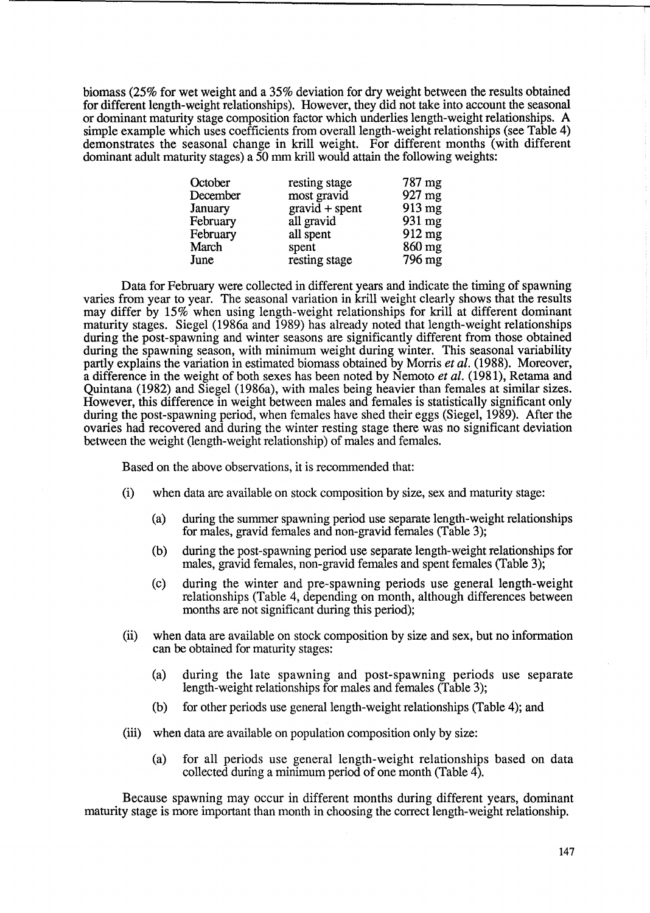biomass (25% for wet weight and a 35% deviation for dry weight between the results obtained for different length-weight relationships). However, they did not take into account the seasonal or dominant maturity stage composition factor which underlies length-weight relationships. A simple example which uses coefficients from overall length-weight relationships (see Table 4) demonstrates the seasonal change in krill weight. For different months (with different dominant adult maturity stages) a 50 mm krill would attain the following weights:

| October  | resting stage    | 787 mg           |
|----------|------------------|------------------|
| December | most gravid      | $927$ mg         |
| January  | $gravid + spent$ | $913 \text{ mg}$ |
| February | all gravid       | 931 mg           |
| February | all spent        | $912 \text{ mg}$ |
| March    | spent            | $860$ mg         |
| June     | resting stage    | 796 mg           |

Data for February were collected in different years and indicate the timing of spawning varies from year to year. The seasonal variation in krill weight clearly shows that the results may differ by 15% when using length-weight relationships for krill at different dominant maturity stages. Siegel (1986a and 1989) has already noted that length-weight relationships during the post-spawning and winter seasons are significantly different from those obtained during the spawning season, with minimum weight during winter. This seasonal variability partly explains the variation in estimated biomass obtained by Morris *et al.* (1988). Moreover, a difference in the weight of both sexes has been noted by Nemoto *et al.* (1981), Retama and Quintana (1982) and Siege1 (1986a), with males being heavier than females at similar sizes. However, this difference in weight between males and females is statistically significant only during the post-spawning period, when females have shed their eggs (Siegel, 1989). After the ovaries had recovered and during the winter resting stage there was no significant deviation between the weight (length-weight relationship) of males and females.

Based on the above observations, it is recommended that:

- (i) when data are available on stock composition by size, sex and maturity stage:
	- (a) during the summer spawning period use separate length-weight relationships for males, gravid females and non-gravid females (Table 3);
	- (b) during the post-spawning period use separate length-weight relationships for males, gravid females, non-gravid females and spent females (Table 3);
	- (c) during the winter and pre-spawning periods use general length-weight relationships (Table 4, depending on month, although differences between months are not significant during this period);
- (ii) when data are available on stock composition by size and sex, but no information can be obtained for maturity stages:
	- (a) during the late spawning and post-spawning periods use separate length-weight relationships for males and females (Table 3);
	- (b) for other periods use general length-weight relationships (Table 4); and
- (iii) when data are available on population composition only by size:
	- (a) for all periods use general length-weight relationships based on data collected during a minimum period of one month (Table 4).

Because spawning may occur in different months during different years, dominant maturity stage is more important than month in choosing the correct length-weight relationship.

**['"""**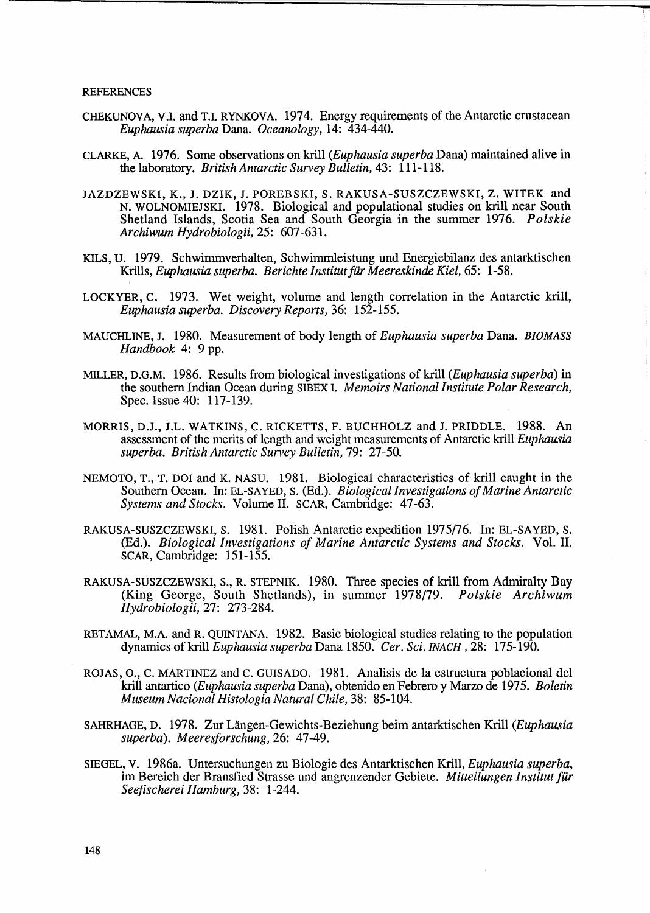- CHEKUNOVA, V.I. and T.I. RYNKOVA. 1974. Energy requirements of the Antarctic crustacean *Euphausia superba* Dana. *Oceanology,* 14: 434-440.
- CLARKE, A. 1976. Some observations on kriU *(Euphausia superba* Dana) maintained alive in the laboratory. *British Antarctic Survey Bulletin,* 43: 111-118.
- JAZDZEWSKI, K., J. DZIK, J. POREBSKI, S. RAKUSA-SUSZCZEWSKI, Z. WITEK and N. WOLNOMIEJSKI. 1978. Biological and populational studies on kriU near South Shetland Islands, Scotia Sea and South Georgia in the summer 1976. *Polskie Archiwum Hydrobiologii,* 25: 607-631.
- KILS, u. 1979. Schwimmverhalten, Schwimmleistung und Energiebilanz des antarktischen Krills, *Euphausia superba. Berichte Institutfar Meereskinde Kiel,* 65: 1-58.
- LOCKYER, C. 1973. Wet weight, volume and length correlation in the Antarctic kriU, *Euphausia superba. Discovery Reports,* 36: 152-155.
- MAUCHLINE, J. 1980. Measurement of body length of *Euphausia superba* Dana. *BIOMASS Handbook* 4: 9 pp.
- MILLER, D.G.M. 1986. Results from biological investigations of krill *(Euphausia superba)* in the southern Indian Ocean during SIBEX I. *Memoirs National Institute Polar Research,*  Spec. Issue 40: 117-139.
- MORRIS, D.J., J.L. WATKINS, C. RICKETTS, F. BUCHHOLZ and J. PRIDDLE. 1988. An assessment of the merits of length and weight measurements of Antarctic krill *Euphausia superba. British Antarctic Survey Bulletin,* 79: 27-50.
- NEMOTO, T., T. DOl and K. NASU. 1981. Biological characteristics of kriU caught in the Southern Ocean. In: EL-SAYED, S. (Ed.). *Biological Investigations of Marine Antarctic Systems and Stocks.* Volume 11. SCAR, Cambridge: 47-63.
- RAKUSA-SUSZCZEWSKI, S. 1981. Polish Antarctic expedition 1975/76. In: EL-SAYED, S. (Ed.). *Biological Investigations of Marine Antarctic Systems and Stocks.* Vol. 11. SCAR, Cambridge: 151-155.
- RAKUSA-SUSZCZEWSKI, S., R. STEPNIK. 1980. Three species of krill from Admiralty Bay (King George, South Shetlands), in summer 1978/79. *Polskie Archiwum Hydrobiologii,* 27: 273-284.
- RETAMAL, M.A. and R. QUINTANA. 1982. Basic biological studies relating to the population dynamics of krill *Euphausia superba* Dana 1850. *Cer. Sci.* INACH ,28: 175-190.
- ROJAS, 0., C. MARTINEZ and C. GUISADO. 1981. Analisis de la estructura poblacional del krill antartico *(Euphausia superba Dana)*, obtenido en Febrero y Marzo de 1975. *Boletin Museum Nacional Histologia Natural Chile,* 38: 85-104.
- SAHRHAGE, D. 1978. Zur Uingen-Gewichts-Beziehung beim antarktischen KriU *(Euphausia superba). Meeresforschung,* 26: 47-49.
- SIEGEL, V. 1986a. Untersuchungen zu Biologie des Antarktischen KriU, *Euphausia superba,*  im Bereich der Bransfied Strasse und angrenzender Gebiete. *Mitteilungen Institut far Seefischerei Hamburg,* 38: 1-244.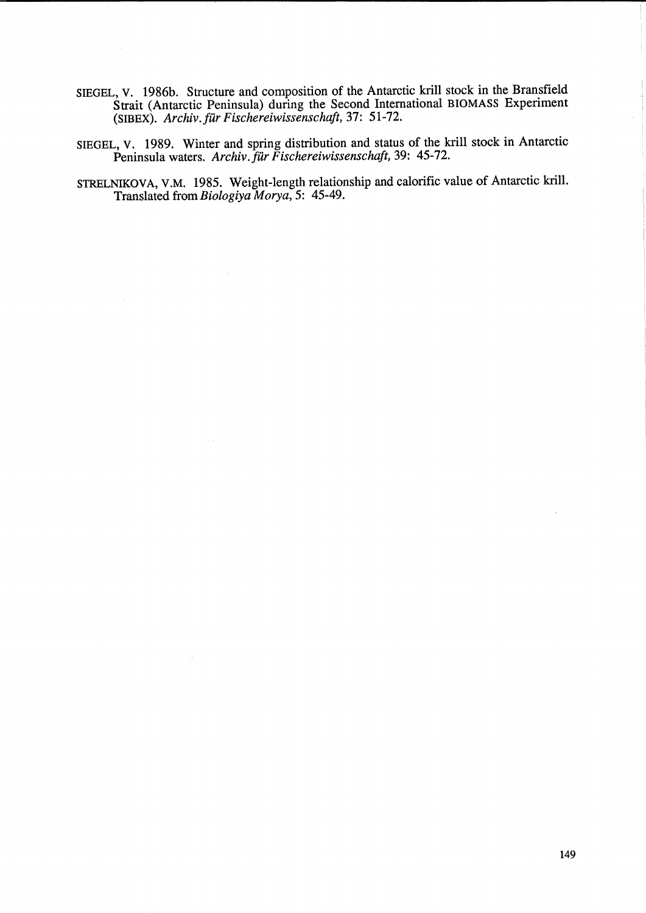- SIEGEL, V. 1986b. Structure and composition of the Antarctic krill stock in the Bransfield Strait (Antarctic Peninsula) during the Second International BIOMASS Experiment (SIBEX). *Archiv.fur Fischereiwissenschaft,* 37: 51-72.
- SIEGEL, V. 1989. Winter and spring distribution and status of the krill stock in Antarctic Peninsula waters. *Archiv. für Fischereiwissenschaft*, 39: 45-72.
- STRELNIKOVA, V.M. 1985. Weight-length relationship and calorific value of Antarctic krill. Translated from *Biologiya Morya,* 5: 45-49.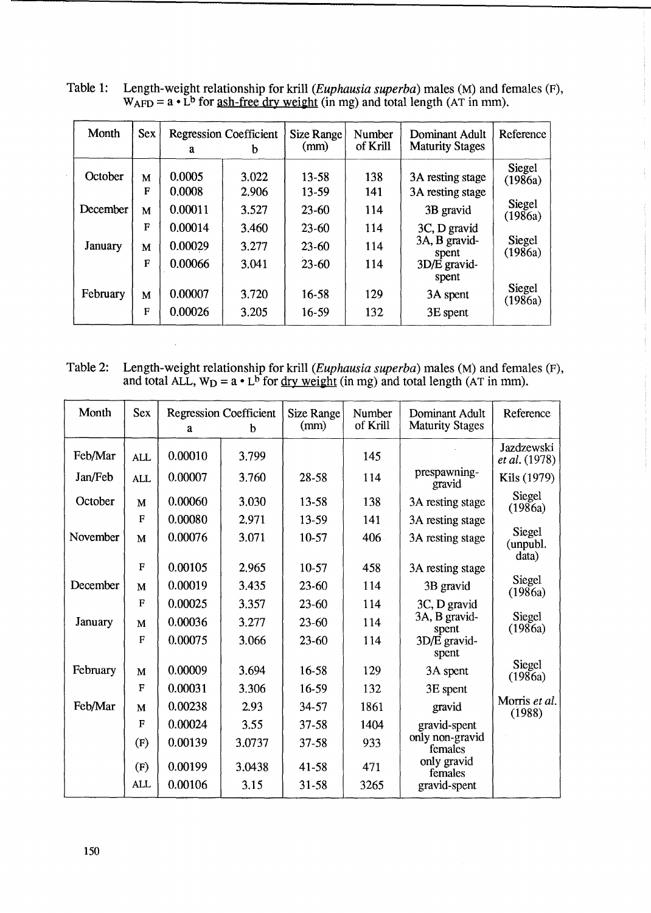| Month          | <b>Sex</b>  | <b>Regression Coefficient</b><br>a |                | Size Range<br>(mm) | Number<br>of Krill | Dominant Adult<br><b>Maturity Stages</b> | Reference                |
|----------------|-------------|------------------------------------|----------------|--------------------|--------------------|------------------------------------------|--------------------------|
| October        | M<br>F      | 0.0005<br>0.0008                   | 3.022<br>2.906 | $13 - 58$<br>13-59 | 138<br>141         | 3A resting stage<br>3A resting stage     | Siegel<br>(1986a)        |
| December       | M           | 0.00011                            | 3.527          | $23 - 60$          | 114                | 3B gravid                                | <b>Siegel</b><br>(1986a) |
|                | F           | 0.00014                            | 3.460          | 23-60              | 114                | 3C, D gravid                             |                          |
| <b>January</b> | M           | 0.00029                            | 3.277          | $23 - 60$          | 114                | 3A, B gravid-<br>spent                   | <b>Siegel</b><br>(1986a) |
|                | $\mathbf F$ | 0.00066                            | 3.041          | $23 - 60$          | 114                | 3D/E gravid-<br>spent                    |                          |
| February       | M           | 0.00007                            | 3.720          | 16-58              | 129                | 3A spent                                 | Siegel<br>(1986a)        |
|                | $\mathbf F$ | 0.00026                            | 3.205          | 16-59              | 132                | 3E spent                                 |                          |

Table 1: Length-weight relationship for krill (*Euphausia superba*) males (M) and females (F),  $W_{\rm AFD} = a \cdot L^{b}$  for <u>ash-free dry weight</u> (in mg) and total length (AT in mm).

| Table 2: Length-weight relationship for krill ( <i>Euphausia superba</i> ) males (M) and females (F), |
|-------------------------------------------------------------------------------------------------------|
| and total ALL, $W_D = a \cdot L^b$ for <u>dry weight</u> (in mg) and total length (AT in mm).         |

 $\bar{z}$ 

| Month    | <b>Sex</b>   |         |                                    |                           | Number   | Dominant Adult             | Reference                          |
|----------|--------------|---------|------------------------------------|---------------------------|----------|----------------------------|------------------------------------|
|          |              | a       | <b>Regression Coefficient</b><br>h | <b>Size Range</b><br>(mm) | of Krill | <b>Maturity Stages</b>     |                                    |
| Feb/Mar  | <b>ALL</b>   | 0.00010 | 3.799                              |                           | 145      |                            | Jazdzewski<br><i>et al.</i> (1978) |
| Jan/Feb  | <b>ALL</b>   | 0.00007 | 3.760                              | 28-58                     | 114      | prespawning-<br>gravid     | Kils (1979)                        |
| October  | M            | 0.00060 | 3.030                              | 13-58                     | 138      | 3A resting stage           | Siegel<br>(1986a)                  |
|          | $\mathbf{F}$ | 0.00080 | 2.971                              | 13-59                     | 141      | 3A resting stage           |                                    |
| November | M            | 0.00076 | 3.071                              | 10-57                     | 406      | 3A resting stage           | Siegel<br>(unpubl.<br>data)        |
|          | $\mathbf{F}$ | 0.00105 | 2.965                              | 10-57                     | 458      | 3A resting stage           |                                    |
| December | M            | 0.00019 | 3.435                              | $23 - 60$                 | 114      | 3B gravid                  | Siegel<br>(1986a)                  |
|          | $\mathbf F$  | 0.00025 | 3.357                              | $23 - 60$                 | 114      | 3C, D gravid               |                                    |
| January  | M            | 0.00036 | 3.277                              | $23 - 60$                 | 114      | 3A, B gravid-<br>spent     | Siegel<br>(1986a)                  |
|          | $\mathbf{F}$ | 0.00075 | 3.066                              | $23 - 60$                 | 114      | 3D/E gravid-<br>spent      |                                    |
| February | M            | 0.00009 | 3.694                              | 16-58                     | 129      | 3A spent                   | Siegel<br>(1986a)                  |
|          | $\mathbf F$  | 0.00031 | 3.306                              | 16-59                     | 132      | 3E spent                   |                                    |
| Feb/Mar  | M            | 0.00238 | 2.93                               | 34-57                     | 1861     | gravid                     | Morris et al.<br>(1988)            |
|          | $\mathbf F$  | 0.00024 | 3.55                               | 37-58                     | 1404     | gravid-spent               |                                    |
|          | (F)          | 0.00139 | 3.0737                             | $37 - 58$                 | 933      | only non-gravid<br>females |                                    |
|          | (F)          | 0.00199 | 3.0438                             | 41-58                     | 471      | only gravid<br>females     |                                    |
|          | <b>ALL</b>   | 0.00106 | 3.15                               | 31-58                     | 3265     | gravid-spent               |                                    |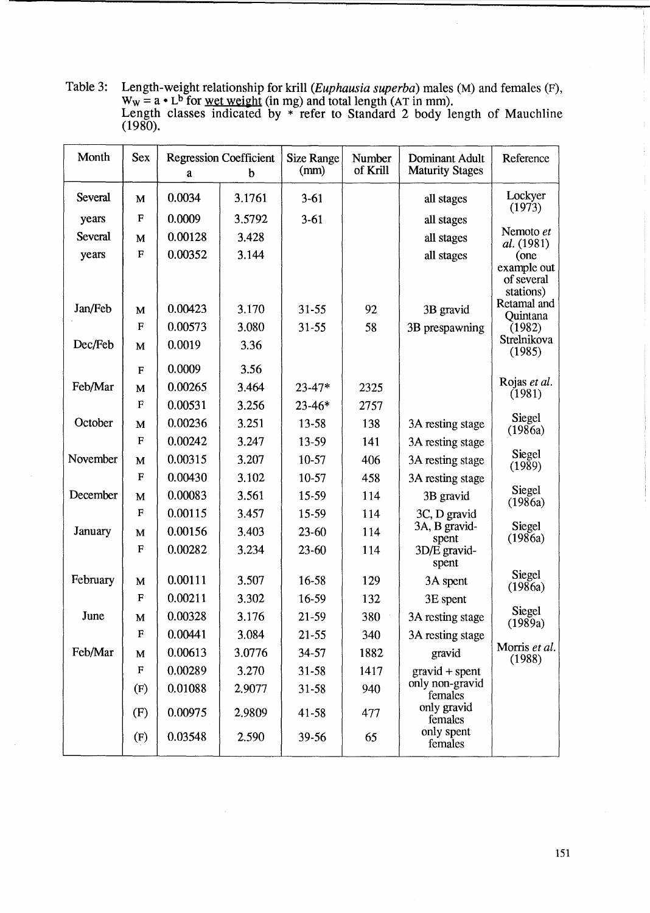Table 3: Length-weight relationship for krill (*Euphausia superba*) males (M) and females (F),  $W_W = a \cdot L^b$  for <u>wet weight</u> (in mg) and total length (AT in mm). Length classes indicated by \* refer to Standard 2 body length of Mauchline (1980).

| Month          | <b>Sex</b>   | <b>Regression Coefficient</b><br>b<br>a |        | <b>Size Range</b><br>(mm) | Number<br>of Krill | Dominant Adult<br><b>Maturity Stages</b> | Reference                              |
|----------------|--------------|-----------------------------------------|--------|---------------------------|--------------------|------------------------------------------|----------------------------------------|
| <b>Several</b> | M            | 0.0034                                  | 3.1761 | $3-61$                    |                    | all stages                               | Lockyer<br>(1973)                      |
| years          | $\mathbf{F}$ | 0.0009                                  | 3.5792 | $3-61$                    |                    | all stages                               |                                        |
| Several        | M            | 0.00128                                 | 3.428  |                           |                    | all stages                               | Nemoto et<br><i>al.</i> (1981)         |
| years          | $\mathbf F$  | 0.00352                                 | 3.144  |                           |                    | all stages                               | (one                                   |
|                |              |                                         |        |                           |                    |                                          | example out<br>of several<br>stations) |
| Jan/Feb        | M            | 0.00423                                 | 3.170  | $31 - 55$                 | 92                 | 3B gravid                                | Retamal and                            |
|                | F            | 0.00573                                 | 3.080  | $31 - 55$                 | 58                 | 3B prespawning                           | Quintana<br>(1982)                     |
| Dec/Feb        | M            | 0.0019                                  | 3.36   |                           |                    |                                          | Strelnikova<br>(1985)                  |
|                | $\mathbf{F}$ | 0.0009                                  | 3.56   |                           |                    |                                          |                                        |
| Feb/Mar        | M            | 0.00265                                 | 3.464  | $23 - 47*$                | 2325               |                                          | Rojas et al.<br>(1981)                 |
|                | $\mathbf{F}$ | 0.00531                                 | 3.256  | $23 - 46*$                | 2757               |                                          |                                        |
| October        | M            | 0.00236                                 | 3.251  | 13-58                     | 138                | 3A resting stage                         | Siegel<br>(1986a)                      |
|                | $\mathbf{F}$ | 0.00242                                 | 3.247  | 13-59                     | 141                | 3A resting stage                         |                                        |
| November       | M            | 0.00315                                 | 3.207  | $10-57$                   | 406                | 3A resting stage                         | Siegel<br>(1989)                       |
|                | F            | 0.00430                                 | 3.102  | $10-57$                   | 458                | 3A resting stage                         |                                        |
| December       | M            | 0.00083                                 | 3.561  | 15-59                     | 114                | 3B gravid                                | Siegel<br>(1986a)                      |
|                | $\mathbf F$  | 0.00115                                 | 3.457  | 15-59                     | 114                | 3C, D gravid                             |                                        |
| January        | M            | 0.00156                                 | 3.403  | 23-60                     | 114                | 3A, B gravid-<br>spent                   | Siegel<br>(1986a)                      |
|                | $\mathbf F$  | 0.00282                                 | 3.234  | $23 - 60$                 | 114                | 3D/E gravid-<br>spent                    |                                        |
| February       | M            | 0.00111                                 | 3.507  | 16-58                     | 129                | 3A spent                                 | Siegel<br>(1986a)                      |
|                | F            | 0.00211                                 | 3.302  | 16-59                     | 132                | 3E spent                                 |                                        |
| June           | M            | 0.00328                                 | 3.176  | $21 - 59$                 | 380                | 3A resting stage                         | Siegel<br>(1989a)                      |
|                | $\mathbf F$  | 0.00441                                 | 3.084  | $21 - 55$                 | 340                | 3A resting stage                         |                                        |
| Feb/Mar        | M            | 0.00613                                 | 3.0776 | 34-57                     | 1882               | gravid                                   | Morris et al.<br>(1988)                |
|                | ${\bf F}$    | 0.00289                                 | 3.270  | $31 - 58$                 | 1417               | $gravid + spent$                         |                                        |
|                | (F)          | 0.01088                                 | 2.9077 | 31-58                     | 940                | only non-gravid<br>females               |                                        |
|                | (F)          | 0.00975                                 | 2.9809 | 41-58                     | 477                | only gravid<br>females                   |                                        |
|                | (F)          | 0.03548                                 | 2.590  | 39-56                     | 65                 | only spent<br>females                    |                                        |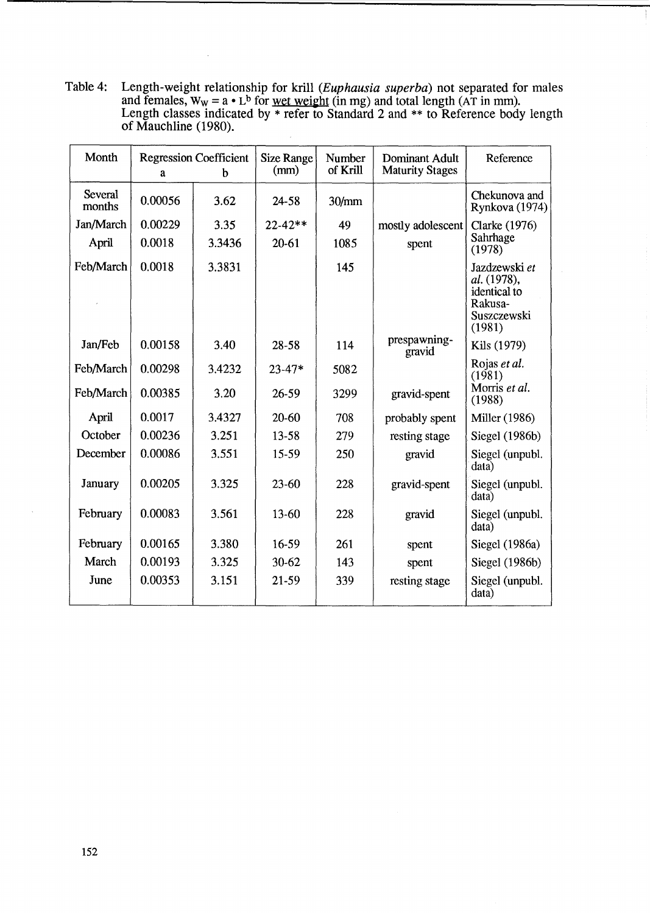Table 4: Length-weight relationship for krill (*Euphausia superba*) not separated for males and females,  $W_W = a \cdot L^b$  for <u>wet weight</u> (in mg) and total length (AT in mm). Length classes indicated by \* refer to Standard 2 and \*\* to Reference body length of Mauchline (1980).

 $\mathcal{L}$ 

| Month                    | <b>Regression Coefficient</b><br>b<br>a |        | <b>Size Range</b><br>(mm) | Number<br>of Krill | Dominant Adult<br><b>Maturity Stages</b> | Reference                                                                        |
|--------------------------|-----------------------------------------|--------|---------------------------|--------------------|------------------------------------------|----------------------------------------------------------------------------------|
| <b>Several</b><br>months | 0.00056                                 | 3.62   | 24-58                     | 30/mm              |                                          | Chekunova and<br>Rynkova (1974)                                                  |
| Jan/March                | 0.00229                                 | 3.35   | $22 - 42**$               | 49                 | mostly adolescent                        | Clarke (1976)                                                                    |
| April                    | 0.0018                                  | 3.3436 | $20 - 61$                 | 1085               | spent                                    | Sahrhage<br>(1978)                                                               |
| Feb/March                | 0.0018                                  | 3.3831 |                           | 145                |                                          | Jazdzewski et<br>al. (1978),<br>identical to<br>Rakusa-<br>Suszczewski<br>(1981) |
| Jan/Feb                  | 0.00158                                 | 3.40   | 28-58                     | 114                | prespawning-<br>gravid                   | Kils (1979)                                                                      |
| Feb/March                | 0.00298                                 | 3.4232 | $23 - 47*$                | 5082               |                                          | Rojas et al.<br>(1981)                                                           |
| Feb/March                | 0.00385                                 | 3.20   | $26 - 59$                 | 3299               | gravid-spent                             | Morris et al.<br>(1988)                                                          |
| April                    | 0.0017                                  | 3.4327 | $20 - 60$                 | 708                | probably spent                           | <b>Miller</b> (1986)                                                             |
| October                  | 0.00236                                 | 3.251  | 13-58                     | 279                | resting stage                            | Siegel (1986b)                                                                   |
| December                 | 0.00086                                 | 3.551  | 15-59                     | 250                | gravid                                   | Siegel (unpubl.<br>data)                                                         |
| January                  | 0.00205                                 | 3.325  | $23 - 60$                 | 228                | gravid-spent                             | Siegel (unpubl.<br>data)                                                         |
| February                 | 0.00083                                 | 3.561  | 13-60                     | 228                | gravid                                   | Siegel (unpubl.<br>data)                                                         |
| February                 | 0.00165                                 | 3.380  | 16-59                     | 261                | spent                                    | Siegel (1986a)                                                                   |
| March                    | 0.00193                                 | 3.325  | $30 - 62$                 | 143                | spent                                    | Siegel (1986b)                                                                   |
| June                     | 0.00353                                 | 3.151  | 21-59                     | 339                | resting stage                            | Siegel (unpubl.<br>data)                                                         |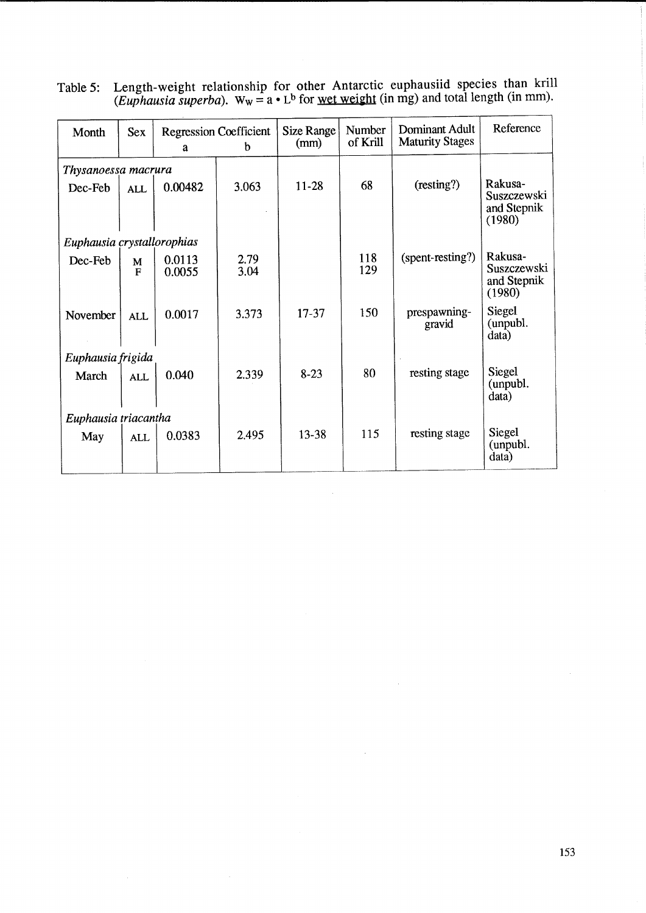| Month                      | <b>Sex</b>        | <b>Regression Coefficient</b><br>b<br>$\mathbf{a}$ |              | <b>Size Range</b><br>(mm) | Number<br>of Krill | Dominant Adult<br><b>Maturity Stages</b> | Reference                                       |
|----------------------------|-------------------|----------------------------------------------------|--------------|---------------------------|--------------------|------------------------------------------|-------------------------------------------------|
| Thysanoessa macrura        |                   |                                                    |              |                           |                    |                                          |                                                 |
| Dec-Feb                    | <b>ALL</b>        | 0.00482                                            | 3.063        | 11-28                     | 68                 | (resting?)                               | Rakusa-<br>Suszczewski<br>and Stepnik<br>(1980) |
| Euphausia crystallorophias |                   |                                                    |              |                           |                    |                                          |                                                 |
| Dec-Feb                    | M<br>$\mathbf{F}$ | 0.0113<br>0.0055                                   | 2.79<br>3.04 |                           | 118<br>129         | (spent-resting?)                         | Rakusa-<br>Suszczewski<br>and Stepnik<br>(1980) |
| November                   | <b>ALL</b>        | 0.0017                                             | 3.373        | $17 - 37$                 | 150                | prespawning-<br>gravid                   | Siegel<br>(unpubl.)<br>data)                    |
| Euphausia frigida          |                   |                                                    |              |                           |                    |                                          |                                                 |
| March                      | <b>ALL</b>        | 0.040                                              | 2.339        | $8 - 23$                  | 80                 | resting stage                            | Siegel<br>(unpubl.<br>data)                     |
| Euphausia triacantha       |                   |                                                    |              |                           |                    |                                          |                                                 |
| May                        | <b>ALL</b>        | 0.0383                                             | 2.495        | 13-38                     | 115                | resting stage                            | Siegel<br>(unpubl.<br>data)                     |

Table 5: Length-weight relationship for other Antarctic euphausiid species than krill (*Euphausia superba*). W<sub>W</sub> = a • L<sup>b</sup> for <u>wet weight</u> (in mg) and total length (in mm).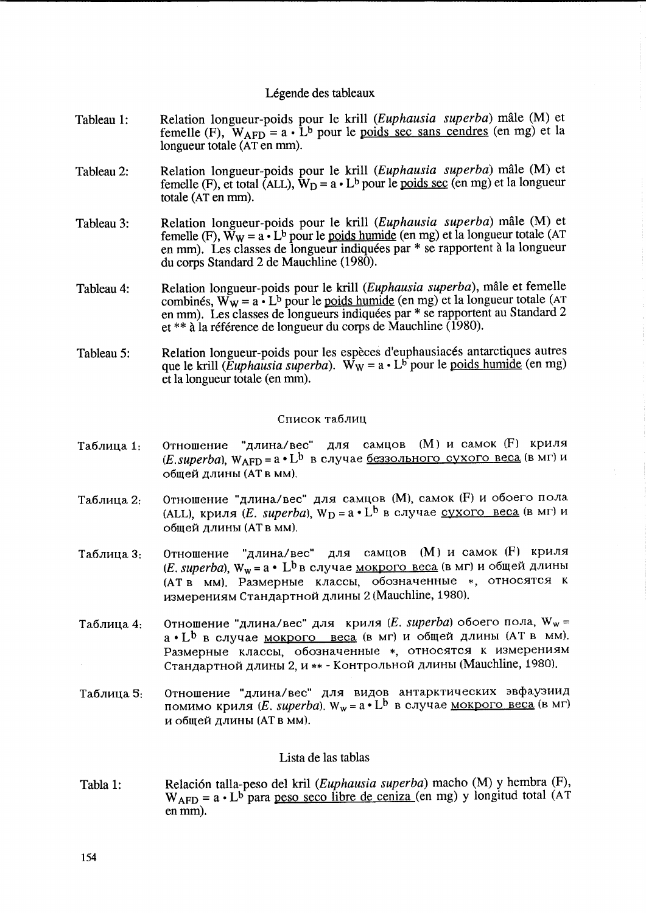## Légende des tableaux

- Tableau 1: Relation longueur-poids pour le krill (Euphausia superba) male (M) et femelle (F),  $W_{\text{AFD}} = a \cdot \hat{L}^b$  pour le poids sec sans cendres (en mg) et la longueur totale (AT en mm).
- Tableau 2: Relation longueur-poids pour le krill (Euphausia superba) male (M) et femelle (F), et total (ALL),  $W_D = a \cdot L^b$  pour le <u>poids sec</u> (en mg) et la longueur totale (AT en mm).
- Tableau 3: Relation longueur-poids pour le krill (Euphausia superba) male (M) et femelle (F),  $\tilde{W}_W = a \cdot L^b$  pour le <u>poids humide</u> (en mg) et la longueur totale (AT en mm). Les classes de longueur indiquées par \* se rapportent à la longueur du corps Standard 2 de Mauchline (1980).
- Tableau 4: Relation longueur-poids pour le krill (Euphausia superba), mâle et femelle combinés,  $\mathbf{W}_{\mathbf{W}} = \mathbf{a} \cdot \mathbf{L}^{\mathbf{b}}$  pour le poids humide (en mg) et la longueur totale (AT en mm). Les classes de longueurs indiquees par \* se rapportent au Standard <sup>2</sup> et \*\* a la reference de longueur du corps de Mauchline (1980).
- Tableau 5: Relation longueur-poids pour les espèces d'euphausiacés antarctiques autres que le krill (Euphausia superba). W<sub>w</sub> =  $a \cdot L^b$  pour le poids humide (en mg) et la longueur totale (en mm).

# Список таблиц

- Таблица 1: Отношение "длина/вес" для самцов (М) и самок (F) криля (E.superba),  $W_{\text{AFD}} = a \cdot L^{b}$  в случае беззольного сухого веса (в мг) и общей длины (АТ в мм).
- Таблица 2: Отношение "длина/вес" для самцов (М), самок (F) и обоего пола (ALL), криля (E. superba),  $W_D = a \cdot L^b$  в случае <u>сухого веса</u> (в мг) и общей длины (АТ в мм).
- Таблица 3: Отношение "длина/вес" для самцов (М) и самок (F) криля (E. superba),  $W_w = a \cdot L^b$  в случае мокрого веса (в мг) и общей длины (АТ в мм). Размерные классы, обозначенные \*, относятся к измерениям Стандартной длины 2 (Mauchline, 1980).
- Таблица 4: Отношение "длина/вес" для криля (E. superba) обоего пола,  $W_w =$  $a \cdot L^b$  в случае мокрого веса (в мг) и общей длины (АТ в мм). Размерные классы, обозначенные \*, относятся к измерениям Стандартной длины 2, и \*\* - Контрольной длины (Mauchline, 1980).
- Таблица 5: Отношение "длина/вес" для видов антарктических эвфаузиид помимо криля (*E. superba*). W<sub>w</sub> = a • L<sup>b</sup> в случае <u>мокрого веса</u> (в мг) и общей длины (АТ в мм).

### Lista de las tablas

Tabla 1: Relación talla-peso del kril (Euphausia superba) macho (M) y hembra (F),  $W_{\text{AFD}} = a \cdot L^{b}$  para <u>peso seco libre de ceniza</u> (en mg) y longitud total (AT) en mm).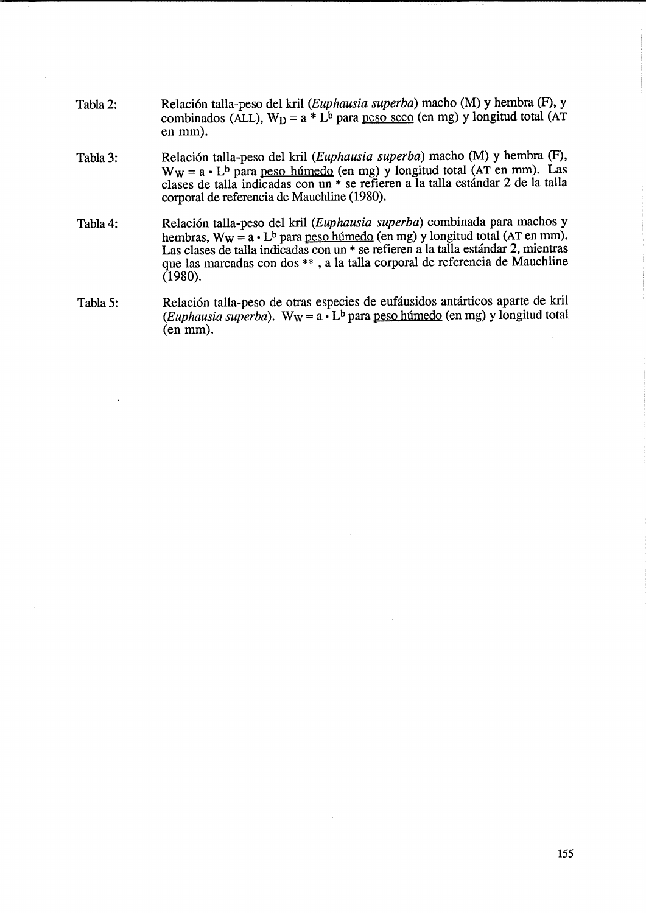- Tabla2: Relación talla-peso del kril (Euphausia superba) macho (M) y hembra (F), y combinados (ALL),  $W_D = a * L^b$  para peso seco (en mg) y longitud total (AT en mm).
- Tabla 3: Relación talla-peso del kril (Euphausia superba) macho (M) y hembra (F),  $W_W = a \cdot L^b$  para peso húmedo (en mg) y longitud total (AT en mm). Las clases de talla indicadas con un \* se refieren a la talla estándar 2 de la talla corporal de referencia de Mauchline (1980).
- Tabla 4: Relación talla-peso del kril (Euphausia superba) combinada para machos y hembras,  $W_W = a \cdot L^b$  para peso húmedo (en mg) y longitud total (AT en mm). Las clases de talla indicadas con un  $*$  se refieren a la talla estándar 2, mientras que las marcadas con dos \*\* , a la talla corporal de referencia de Mauchline (1980).
- Tabla 5: Relación talla-peso de otras especies de eufáusidos antárticos aparte de kril (Euphausia superba). W<sub>W</sub> =  $a \cdot L^b$  para <u>peso húmedo</u> (en mg) y longitud total  $(en$  mm).